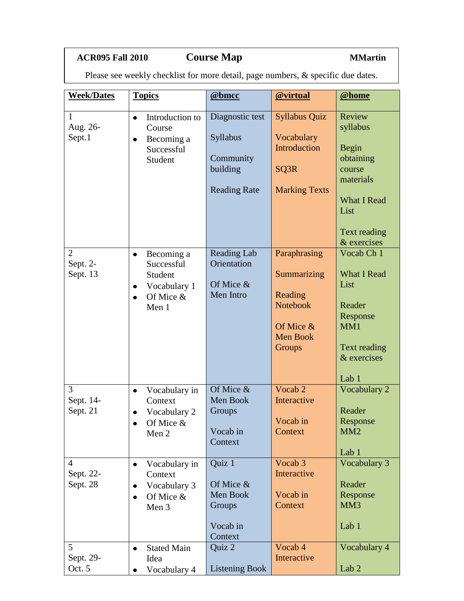## **ACR095 Fall 2010 Course Map MMartin**

Please see weekly checklist for more detail, page numbers, & specific due dates.

| <b>Week/Dates</b>                       | <b>Topics</b>                                                                                         | @bmcc                                                                       | @virtual                                                                                            | @home                                                                                                                        |
|-----------------------------------------|-------------------------------------------------------------------------------------------------------|-----------------------------------------------------------------------------|-----------------------------------------------------------------------------------------------------|------------------------------------------------------------------------------------------------------------------------------|
| 1<br>Aug. 26-<br>Sept.1                 | Introduction to<br>$\bullet$<br>Course<br>Becoming a<br>$\bullet$<br>Successful<br>Student            | Diagnostic test<br>Syllabus<br>Community<br>building<br><b>Reading Rate</b> | <b>Syllabus Quiz</b><br>Vocabulary<br>Introduction<br>SQ3R<br><b>Marking Texts</b>                  | Review<br>syllabus<br>Begin<br>obtaining<br>course<br>materials<br><b>What I Read</b><br>List<br>Text reading<br>& exercises |
| $\overline{2}$<br>Sept. 2-<br>Sept. 13  | Becoming a<br>$\bullet$<br>Successful<br>Student<br>Vocabulary 1<br>$\bullet$<br>Of Mice &<br>Men 1   | Reading Lab<br>Orientation<br>Of Mice &<br>Men Intro                        | Paraphrasing<br>Summarizing<br>Reading<br><b>Notebook</b><br>Of Mice &<br><b>Men Book</b><br>Groups | Vocab Ch 1<br><b>What I Read</b><br>List<br>Reader<br>Response<br>MM1<br>Text reading<br>& exercises<br>Lab <sub>1</sub>     |
| 3<br>Sept. 14-<br>Sept. 21              | Vocabulary in<br>$\bullet$<br>Context<br>Vocabulary 2<br>Of Mice &<br>$\bullet$<br>Men 2              | Of Mice &<br>Men Book<br>Groups<br>Vocab in<br>Context                      | Vocab 2<br>Interactive<br>Vocab in<br>Context                                                       | Vocabulary 2<br>Reader<br>Response<br>MM <sub>2</sub><br>Lab 1                                                               |
| $\overline{4}$<br>Sept. 22-<br>Sept. 28 | Vocabulary in<br>$\bullet$<br>Context<br>Vocabulary 3<br>$\bullet$<br>Of Mice &<br>$\bullet$<br>Men 3 | Quiz 1<br>Of Mice &<br>Men Book<br>Groups<br>Vocab in<br>Context            | Vocab 3<br>Interactive<br>Vocab in<br>Context                                                       | Vocabulary 3<br>Reader<br>Response<br>MM <sub>3</sub><br>Lab 1                                                               |
| 5<br>Sept. 29-<br>Oct. 5                | <b>Stated Main</b><br>$\bullet$<br>Idea<br>Vocabulary 4                                               | Quiz 2<br><b>Listening Book</b>                                             | Vocab 4<br>Interactive                                                                              | Vocabulary 4<br>Lab <sub>2</sub>                                                                                             |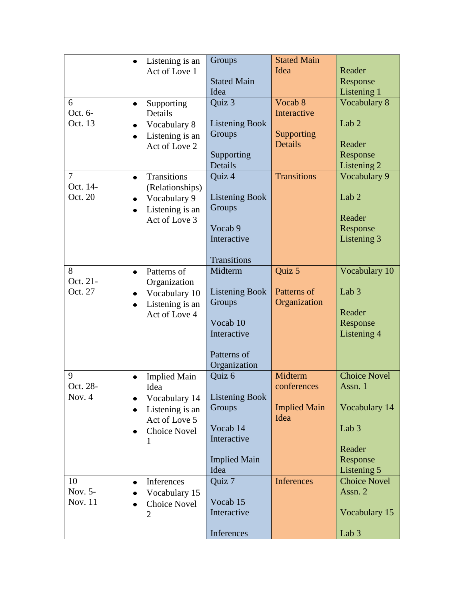|                | Listening is an                    | Groups                | <b>Stated Main</b>          |                     |
|----------------|------------------------------------|-----------------------|-----------------------------|---------------------|
|                | Act of Love 1                      |                       | Idea                        | Reader              |
|                |                                    | <b>Stated Main</b>    |                             | Response            |
|                |                                    | Idea                  |                             | Listening 1         |
| 6<br>Oct. 6-   | Supporting<br>$\bullet$<br>Details | Quiz 3                | Vocab 8<br>Interactive      | <b>Vocabulary 8</b> |
| Oct. 13        | Vocabulary 8<br>$\bullet$          | <b>Listening Book</b> |                             | Lab <sub>2</sub>    |
|                | Listening is an<br>$\bullet$       | Groups                | Supporting                  |                     |
|                | Act of Love 2                      |                       | <b>Details</b>              | Reader              |
|                |                                    | Supporting            |                             | Response            |
|                |                                    | Details               |                             | Listening 2         |
| $\overline{7}$ | <b>Transitions</b>                 | Quiz 4                | <b>Transitions</b>          | Vocabulary 9        |
| Oct. 14-       | (Relationships)                    |                       |                             |                     |
| Oct. 20        | Vocabulary 9<br>$\bullet$          | <b>Listening Book</b> |                             | Lab <sub>2</sub>    |
|                | Listening is an<br>$\bullet$       | Groups                |                             |                     |
|                | Act of Love 3                      |                       |                             | Reader              |
|                |                                    | Vocab 9               |                             | Response            |
|                |                                    | Interactive           |                             | Listening 3         |
|                |                                    | <b>Transitions</b>    |                             |                     |
| 8              | Patterns of<br>$\bullet$           | Midterm               | Quiz 5                      | Vocabulary 10       |
| Oct. 21-       | Organization                       |                       |                             |                     |
| Oct. 27        | Vocabulary 10<br>$\bullet$         | <b>Listening Book</b> | Patterns of                 | Lab <sub>3</sub>    |
|                | Listening is an                    | Groups                | Organization                |                     |
|                | Act of Love 4                      |                       |                             | Reader              |
|                |                                    | Vocab 10              |                             | Response            |
|                |                                    | Interactive           |                             | Listening 4         |
|                |                                    |                       |                             |                     |
|                |                                    | Patterns of           |                             |                     |
|                |                                    | Organization          |                             |                     |
| 9              | <b>Implied Main</b>                | Quiz 6                | Midterm                     | <b>Choice Novel</b> |
| Oct. 28-       | Idea                               |                       | conferences                 | Assn. 1             |
| Nov. $4$       | Vocabulary 14                      | <b>Listening Book</b> |                             |                     |
|                | Listening is an                    | Groups                | <b>Implied Main</b><br>Idea | Vocabulary 14       |
|                | Act of Love 5                      | Vocab 14              |                             | Lab <sub>3</sub>    |
|                | <b>Choice Novel</b>                | Interactive           |                             |                     |
|                | 1                                  |                       |                             | Reader              |
|                |                                    | <b>Implied Main</b>   |                             | Response            |
|                |                                    | Idea                  |                             | Listening 5         |
| 10             | Inferences                         | Quiz 7                | <b>Inferences</b>           | <b>Choice Novel</b> |
| Nov. 5-        | Vocabulary 15                      |                       |                             | Assn. 2             |
| Nov. 11        | <b>Choice Novel</b><br>$\bullet$   | Vocab 15              |                             |                     |
|                | $\overline{2}$                     | Interactive           |                             | Vocabulary 15       |
|                |                                    |                       |                             |                     |
|                |                                    | Inferences            |                             | Lab 3               |